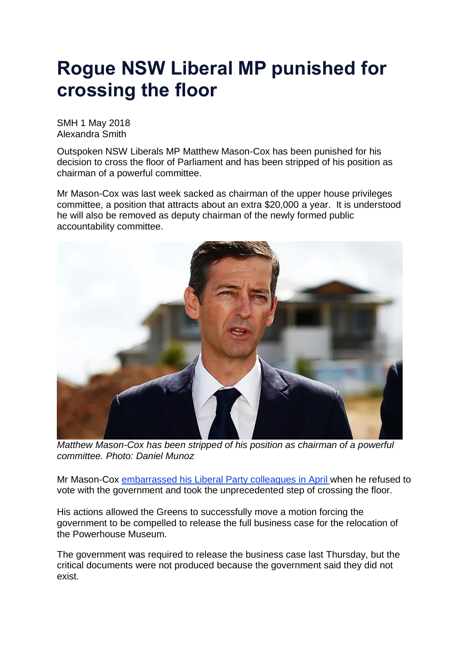## **Rogue NSW Liberal MP punished for crossing the floor**

SMH 1 May 2018 Alexandra Smith

Outspoken NSW Liberals MP Matthew Mason-Cox has been punished for his decision to cross the floor of Parliament and has been stripped of his position as chairman of a powerful committee.

Mr Mason-Cox was last week sacked as chairman of the upper house privileges committee, a position that attracts about an extra \$20,000 a year. It is understood he will also be removed as deputy chairman of the newly formed public accountability committee.



*Matthew Mason-Cox has been stripped of his position as chairman of a powerful committee. Photo: Daniel Munoz*

Mr Mason-Cox [embarrassed](https://www.smh.com.au/politics/nsw/rogue-liberal-mp-crosses-the-floor-forcing-release-of-documents-20180412-p4z9a6.html) his Liberal Party colleagues in April when he refused to vote with the government and took the unprecedented step of crossing the floor.

His actions allowed the Greens to successfully move a motion forcing the government to be compelled to release the full business case for the relocation of the Powerhouse Museum.

The government was required to release the business case last Thursday, but the critical documents were not produced because the government said they did not exist.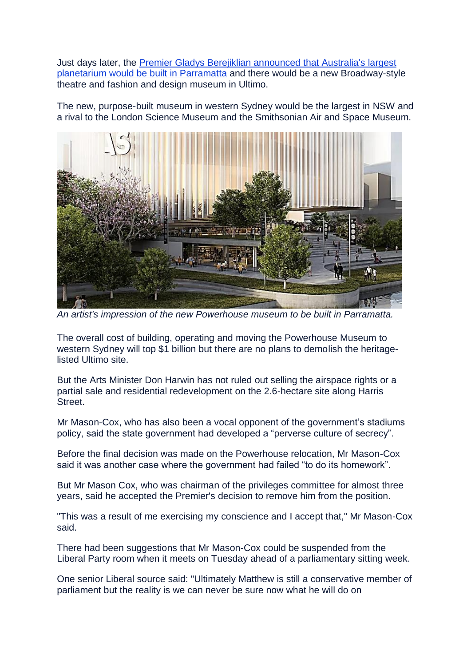Just days later, the Premier Gladys Berejiklian [announced](https://www.smh.com.au/entertainment/art-and-design/powerhouse-on-the-move-theatre-for-ultimo-planetarium-for-parramatta-20180427-p4zc28.html) that Australia's largest [planetarium](https://www.smh.com.au/entertainment/art-and-design/powerhouse-on-the-move-theatre-for-ultimo-planetarium-for-parramatta-20180427-p4zc28.html) would be built in [Parramatta](https://www.smh.com.au/entertainment/art-and-design/powerhouse-on-the-move-theatre-for-ultimo-planetarium-for-parramatta-20180427-p4zc28.html) and there would be a new Broadway-style theatre and fashion and design museum in Ultimo.

The new, purpose-built museum in western Sydney would be the largest in NSW and a rival to the London Science Museum and the Smithsonian Air and Space Museum.



*An artist's impression of the new Powerhouse museum to be built in Parramatta.*

The overall cost of building, operating and moving the Powerhouse Museum to western Sydney will top \$1 billion but there are no plans to demolish the heritagelisted Ultimo site.

But the Arts Minister Don Harwin has not ruled out selling the airspace rights or a partial sale and residential redevelopment on the 2.6-hectare site along Harris Street.

Mr Mason-Cox, who has also been a vocal opponent of the government's stadiums policy, said the state government had developed a "perverse culture of secrecy".

Before the final decision was made on the Powerhouse relocation, Mr Mason-Cox said it was another case where the government had failed "to do its homework".

But Mr Mason Cox, who was chairman of the privileges committee for almost three years, said he accepted the Premier's decision to remove him from the position.

"This was a result of me exercising my conscience and I accept that," Mr Mason-Cox said.

There had been suggestions that Mr Mason-Cox could be suspended from the Liberal Party room when it meets on Tuesday ahead of a parliamentary sitting week.

One senior Liberal source said: "Ultimately Matthew is still a conservative member of parliament but the reality is we can never be sure now what he will do on